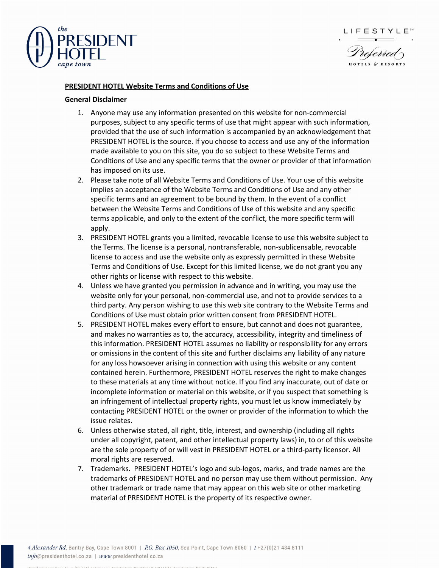





## **PRESIDENT HOTEL Website Terms and Conditions of Use**

## **General Disclaimer**

- 1. Anyone may use any information presented on this website for non-commercial purposes, subject to any specific terms of use that might appear with such information, provided that the use of such information is accompanied by an acknowledgement that PRESIDENT HOTEL is the source. If you choose to access and use any of the information made available to you on this site, you do so subject to these Website Terms and Conditions of Use and any specific terms that the owner or provider of that information has imposed on its use.
- 2. Please take note of all Website Terms and Conditions of Use. Your use of this website implies an acceptance of the Website Terms and Conditions of Use and any other specific terms and an agreement to be bound by them. In the event of a conflict between the Website Terms and Conditions of Use of this website and any specific terms applicable, and only to the extent of the conflict, the more specific term will apply.
- 3. PRESIDENT HOTEL grants you a limited, revocable license to use this website subject to the Terms. The license is a personal, nontransferable, non-sublicensable, revocable license to access and use the website only as expressly permitted in these Website Terms and Conditions of Use. Except for this limited license, we do not grant you any other rights or license with respect to this website.
- 4. Unless we have granted you permission in advance and in writing, you may use the website only for your personal, non-commercial use, and not to provide services to a third party. Any person wishing to use this web site contrary to the Website Terms and Conditions of Use must obtain prior written consent from PRESIDENT HOTEL.
- 5. PRESIDENT HOTEL makes every effort to ensure, but cannot and does not guarantee, and makes no warranties as to, the accuracy, accessibility, integrity and timeliness of this information. PRESIDENT HOTEL assumes no liability or responsibility for any errors or omissions in the content of this site and further disclaims any liability of any nature for any loss howsoever arising in connection with using this website or any content contained herein. Furthermore, PRESIDENT HOTEL reserves the right to make changes to these materials at any time without notice. If you find any inaccurate, out of date or incomplete information or material on this website, or if you suspect that something is an infringement of intellectual property rights, you must let us know immediately by contacting PRESIDENT HOTEL or the owner or provider of the information to which the issue relates.
- 6. Unless otherwise stated, all right, title, interest, and ownership (including all rights under all copyright, patent, and other intellectual property laws) in, to or of this website are the sole property of or will vest in PRESIDENT HOTEL or a third-party licensor. All moral rights are reserved.
- 7. Trademarks. PRESIDENT HOTEL's logo and sub-logos, marks, and trade names are the trademarks of PRESIDENT HOTEL and no person may use them without permission. Any other trademark or trade name that may appear on this web site or other marketing material of PRESIDENT HOTEL is the property of its respective owner.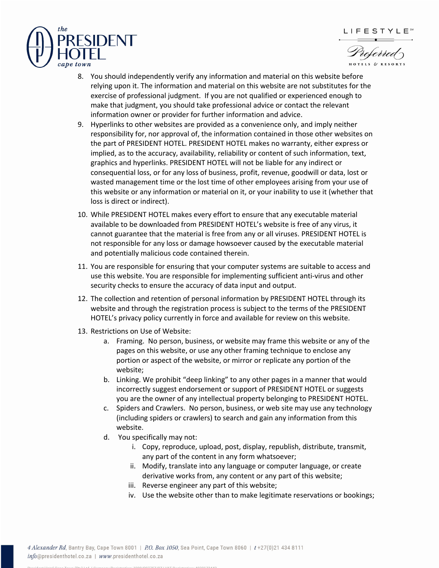



LIFESTYLE<sup>sw</sup>

- 8. You should independently verify any information and material on this website before relying upon it. The information and material on this website are not substitutes for the exercise of professional judgment. If you are not qualified or experienced enough to make that judgment, you should take professional advice or contact the relevant information owner or provider for further information and advice.
- 9. Hyperlinks to other websites are provided as a convenience only, and imply neither responsibility for, nor approval of, the information contained in those other websites on the part of PRESIDENT HOTEL. PRESIDENT HOTEL makes no warranty, either express or implied, as to the accuracy, availability, reliability or content of such information, text, graphics and hyperlinks. PRESIDENT HOTEL will not be liable for any indirect or consequential loss, or for any loss of business, profit, revenue, goodwill or data, lost or wasted management time or the lost time of other employees arising from your use of this website or any information or material on it, or your inability to use it (whether that loss is direct or indirect).
- 10. While PRESIDENT HOTEL makes every effort to ensure that any executable material available to be downloaded from PRESIDENT HOTEL's website is free of any virus, it cannot guarantee that the material is free from any or all viruses. PRESIDENT HOTEL is not responsible for any loss or damage howsoever caused by the executable material and potentially malicious code contained therein.
- 11. You are responsible for ensuring that your computer systems are suitable to access and use this website. You are responsible for implementing sufficient anti-virus and other security checks to ensure the accuracy of data input and output.
- 12. The collection and retention of personal information by PRESIDENT HOTEL through its website and through the registration process is subject to the terms of the PRESIDENT HOTEL's privacy policy currently in force and available for review on this website.
- 13. Restrictions on Use of Website:
	- a. Framing. No person, business, or website may frame this website or any of the pages on this website, or use any other framing technique to enclose any portion or aspect of the website, or mirror or replicate any portion of the website;
	- b. Linking. We prohibit "deep linking" to any other pages in a manner that would incorrectly suggest endorsement or support of PRESIDENT HOTEL or suggests you are the owner of any intellectual property belonging to PRESIDENT HOTEL.
	- c. Spiders and Crawlers. No person, business, or web site may use any technology (including spiders or crawlers) to search and gain any information from this website.
	- d. You specifically may not:
		- i. Copy, reproduce, upload, post, display, republish, distribute, transmit, any part of the content in any form whatsoever;
		- ii. Modify, translate into any language or computer language, or create derivative works from, any content or any part of this website;
		- iii. Reverse engineer any part of this website;
		- iv. Use the website other than to make legitimate reservations or bookings;